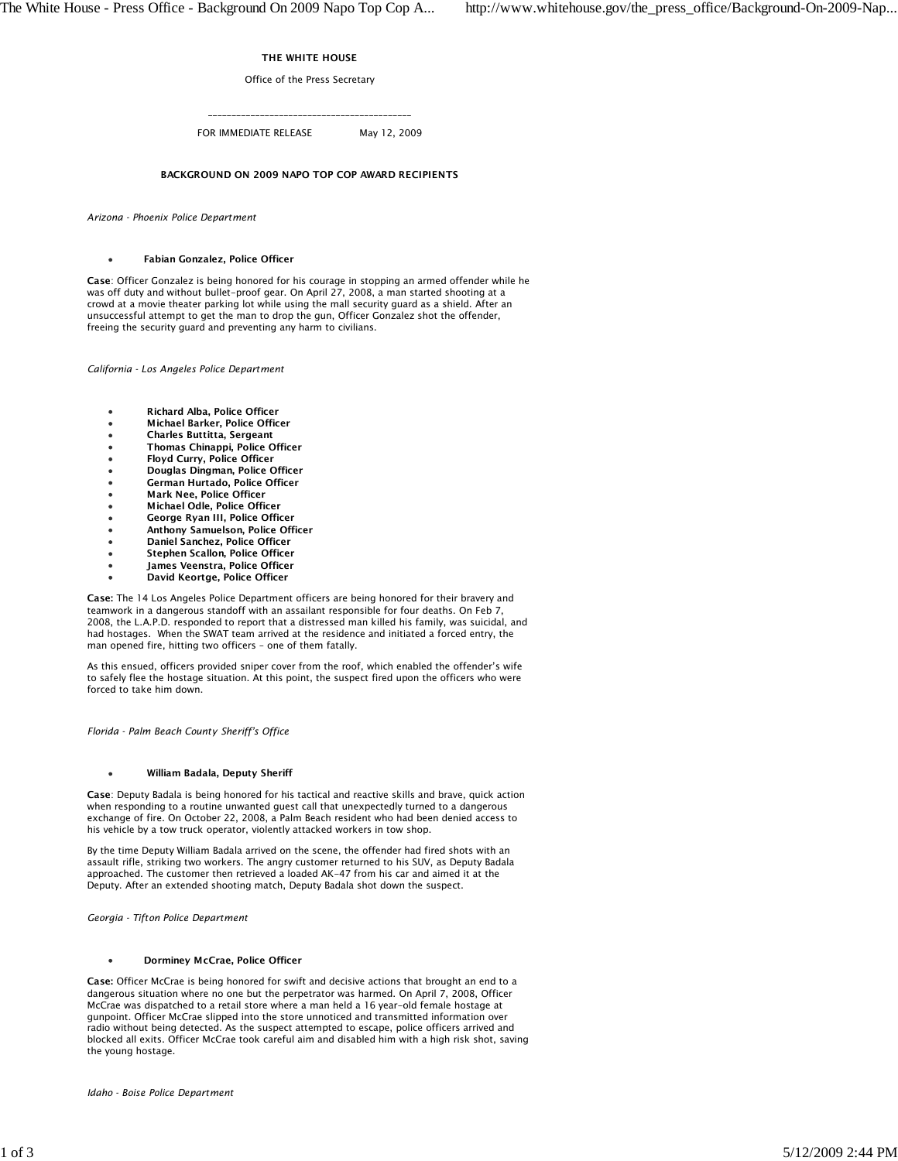## THE WHITE HOUSE

Office of the Press Secretary

\_\_\_\_\_\_\_\_\_\_\_\_\_\_\_\_\_\_\_\_\_\_\_\_\_\_\_\_\_\_\_\_\_\_\_\_\_\_\_\_\_\_\_

FOR IMMEDIATE RELEASE May 12, 2009

# BACKGROUND ON 2009 NAPO TOP COP AWARD RECIPIENTS

*Arizona - Phoenix Police Department*

### Fabian Gonzalez, Police Officer

Case: Officer Gonzalez is being honored for his courage in stopping an armed offender while he was off duty and without bullet-proof gear. On April 27, 2008, a man started shooting at a crowd at a movie theater parking lot while using the mall security guard as a shield. After an unsuccessful attempt to get the man to drop the gun, Officer Gonzalez shot the offender, freeing the security guard and preventing any harm to civilians.

*California - Los Angeles Police Department*

- Richard Alba, Police Officer
- Michael Barker, Police Officer
- Charles Buttitta, Sergeant
- Thomas Chinappi, Police Officer
- Floyd Curry, Police Officer
- Douglas Dingman, Police Officer
- German Hurtado, Police Officer
- Mark Nee, Police Officer
- Michael Odle, Police Officer
- George Ryan III, Police Officer
- Anthony Samuelson, Police Officer
- Daniel Sanchez, Police Officer
- Stephen Scallon, Police Officer
- James Veenstra, Police Officer
- David Keortge, Police Officer

Case: The 14 Los Angeles Police Department officers are being honored for their bravery and teamwork in a dangerous standoff with an assailant responsible for four deaths. On Feb 7, 2008, the L.A.P.D. responded to report that a distressed man killed his family, was suicidal, and had hostages. When the SWAT team arrived at the residence and initiated a forced entry, the man opened fire, hitting two officers – one of them fatally.

As this ensued, officers provided sniper cover from the roof, which enabled the offender's wife to safely flee the hostage situation. At this point, the suspect fired upon the officers who were forced to take him down.

*Florida - Palm Beach County Sheriff's Office*

#### William Badala, Deputy Sheriff

Case: Deputy Badala is being honored for his tactical and reactive skills and brave, quick action when responding to a routine unwanted guest call that unexpectedly turned to a dangerous exchange of fire. On October 22, 2008, a Palm Beach resident who had been denied access to his vehicle by a tow truck operator, violently attacked workers in tow shop.

By the time Deputy William Badala arrived on the scene, the offender had fired shots with an assault rifle, striking two workers. The angry customer returned to his SUV, as Deputy Badala approached. The customer then retrieved a loaded AK-47 from his car and aimed it at the Deputy. After an extended shooting match, Deputy Badala shot down the suspect.

*Georgia - Tifton Police Department*

#### Dorminey McCrae, Police Officer

Case: Officer McCrae is being honored for swift and decisive actions that brought an end to a dangerous situation where no one but the perpetrator was harmed. On April 7, 2008, Officer McCrae was dispatched to a retail store where a man held a 16 year-old female hostage at gunpoint. Officer McCrae slipped into the store unnoticed and transmitted information over radio without being detected. As the suspect attempted to escape, police officers arrived and blocked all exits. Officer McCrae took careful aim and disabled him with a high risk shot, saving the young hostage.

*Idaho - Boise Police Department*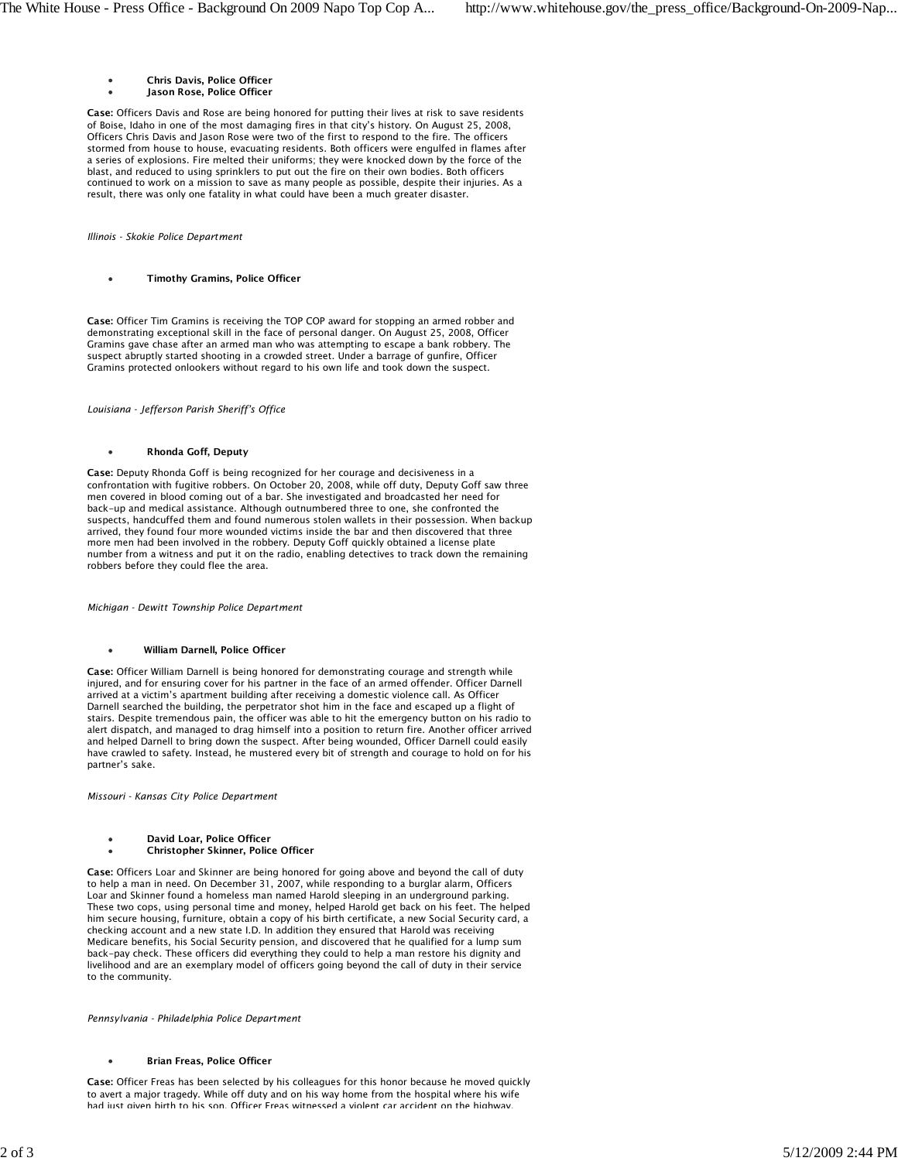- Chris Davis, Police Officer  $\bullet$
- Jason Rose, Police Officer

Case: Officers Davis and Rose are being honored for putting their lives at risk to save residents of Boise, Idaho in one of the most damaging fires in that city's history. On August 25, 2008, Officers Chris Davis and Jason Rose were two of the first to respond to the fire. The officers stormed from house to house, evacuating residents. Both officers were engulfed in flames after a series of explosions. Fire melted their uniforms; they were knocked down by the force of the blast, and reduced to using sprinklers to put out the fire on their own bodies. Both officers continued to work on a mission to save as many people as possible, despite their injuries. As a result, there was only one fatality in what could have been a much greater disaster.

*Illinois - Skokie Police Department*

Timothy Gramins, Police Officer

Case: Officer Tim Gramins is receiving the TOP COP award for stopping an armed robber and demonstrating exceptional skill in the face of personal danger. On August 25, 2008, Officer Gramins gave chase after an armed man who was attempting to escape a bank robbery. The suspect abruptly started shooting in a crowded street. Under a barrage of gunfire, Officer Gramins protected onlookers without regard to his own life and took down the suspect.

*Louisiana - Jefferson Parish Sheriff's Office*

Rhonda Goff, Deputy

Case: Deputy Rhonda Goff is being recognized for her courage and decisiveness in a confrontation with fugitive robbers. On October 20, 2008, while off duty, Deputy Goff saw three men covered in blood coming out of a bar. She investigated and broadcasted her need for back-up and medical assistance. Although outnumbered three to one, she confronted the suspects, handcuffed them and found numerous stolen wallets in their possession. When backup arrived, they found four more wounded victims inside the bar and then discovered that three more men had been involved in the robbery. Deputy Goff quickly obtained a license plate number from a witness and put it on the radio, enabling detectives to track down the remaining robbers before they could flee the area.

*Michigan - Dewitt Township Police Department*

#### William Darnell, Police Officer

Case: Officer William Darnell is being honored for demonstrating courage and strength while injured, and for ensuring cover for his partner in the face of an armed offender. Officer Darnell arrived at a victim's apartment building after receiving a domestic violence call. As Officer Darnell searched the building, the perpetrator shot him in the face and escaped up a flight of stairs. Despite tremendous pain, the officer was able to hit the emergency button on his radio to alert dispatch, and managed to drag himself into a position to return fire. Another officer arrived and helped Darnell to bring down the suspect. After being wounded, Officer Darnell could easily have crawled to safety. Instead, he mustered every bit of strength and courage to hold on for his partner's sake.

*Missouri - Kansas City Police Department*

- David Loar, Police Officer
- Christopher Skinner, Police Officer

Case: Officers Loar and Skinner are being honored for going above and beyond the call of duty to help a man in need. On December 31, 2007, while responding to a burglar alarm, Officers Loar and Skinner found a homeless man named Harold sleeping in an underground parking. These two cops, using personal time and money, helped Harold get back on his feet. The helped him secure housing, furniture, obtain a copy of his birth certificate, a new Social Security card, a checking account and a new state I.D. In addition they ensured that Harold was receiving Medicare benefits, his Social Security pension, and discovered that he qualified for a lump sum back-pay check. These officers did everything they could to help a man restore his dignity and livelihood and are an exemplary model of officers going beyond the call of duty in their service to the community.

*Pennsylvania - Philadelphia Police Department*

#### Brian Freas, Police Officer

Case: Officer Freas has been selected by his colleagues for this honor because he moved quickly to avert a major tragedy. While off duty and on his way home from the hospital where his wife had just given birth to his son, Officer Freas witnessed a violent car accident on the highway.